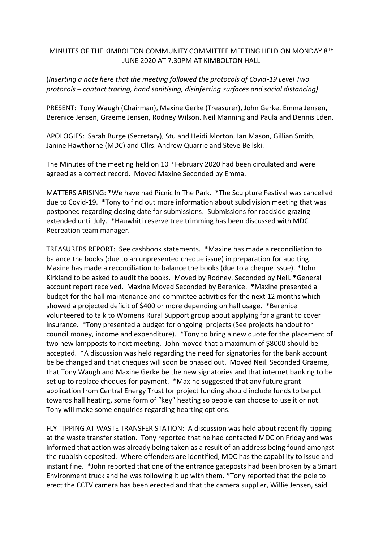## MINUTES OF THE KIMBOLTON COMMUNITY COMMITTEE MEETING HELD ON MONDAY 8TH JUNE 2020 AT 7.30PM AT KIMBOLTON HALL

## (*Inserting a note here that the meeting followed the protocols of Covid-19 Level Two protocols – contact tracing, hand sanitising, disinfecting surfaces and social distancing)*

PRESENT: Tony Waugh (Chairman), Maxine Gerke (Treasurer), John Gerke, Emma Jensen, Berenice Jensen, Graeme Jensen, Rodney Wilson. Neil Manning and Paula and Dennis Eden.

APOLOGIES: Sarah Burge (Secretary), Stu and Heidi Morton, Ian Mason, Gillian Smith, Janine Hawthorne (MDC) and Cllrs. Andrew Quarrie and Steve Beilski.

The Minutes of the meeting held on 10<sup>th</sup> February 2020 had been circulated and were agreed as a correct record. Moved Maxine Seconded by Emma.

MATTERS ARISING: \*We have had Picnic In The Park. \*The Sculpture Festival was cancelled due to Covid-19. \*Tony to find out more information about subdivision meeting that was postponed regarding closing date for submissions. Submissions for roadside grazing extended until July. \*Hauwhiti reserve tree trimming has been discussed with MDC Recreation team manager.

TREASURERS REPORT: See cashbook statements. \*Maxine has made a reconciliation to balance the books (due to an unpresented cheque issue) in preparation for auditing. Maxine has made a reconciliation to balance the books (due to a cheque issue). \*John Kirkland to be asked to audit the books. Moved by Rodney. Seconded by Neil. \*General account report received. Maxine Moved Seconded by Berenice. \*Maxine presented a budget for the hall maintenance and committee activities for the next 12 months which showed a projected deficit of \$400 or more depending on hall usage. \*Berenice volunteered to talk to Womens Rural Support group about applying for a grant to cover insurance. \*Tony presented a budget for ongoing projects (See projects handout for council money, income and expenditure). \*Tony to bring a new quote for the placement of two new lampposts to next meeting. John moved that a maximum of \$8000 should be accepted. \*A discussion was held regarding the need for signatories for the bank account be be changed and that cheques will soon be phased out. Moved Neil. Seconded Graeme, that Tony Waugh and Maxine Gerke be the new signatories and that internet banking to be set up to replace cheques for payment. \*Maxine suggested that any future grant application from Central Energy Trust for project funding should include funds to be put towards hall heating, some form of "key" heating so people can choose to use it or not. Tony will make some enquiries regarding hearting options.

FLY-TIPPING AT WASTE TRANSFER STATION: A discussion was held about recent fly-tipping at the waste transfer station. Tony reported that he had contacted MDC on Friday and was informed that action was already being taken as a result of an address being found amongst the rubbish deposited. Where offenders are identified, MDC has the capability to issue and instant fine. \*John reported that one of the entrance gateposts had been broken by a Smart Environment truck and he was following it up with them. \*Tony reported that the pole to erect the CCTV camera has been erected and that the camera supplier, Willie Jensen, said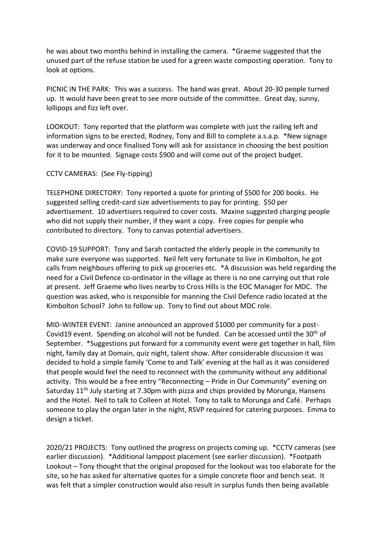he was about two months behind in installing the camera. \*Graeme suggested that the unused part of the refuse station be used for a green waste composting operation. Tony to look at options.

PICNIC IN THE PARK: This was a success. The band was great. About 20-30 people turned up. It would have been great to see more outside of the committee. Great day, sunny, lollipops and fizz left over.

LOOKOUT: Tony reported that the platform was complete with just the railing left and information signs to be erected, Rodney, Tony and Bill to complete a.s.a.p. \*New signage was underway and once finalised Tony will ask for assistance in choosing the best position for it to be mounted. Signage costs \$900 and will come out of the project budget.

## CCTV CAMERAS: (See Fly-tipping)

TELEPHONE DIRECTORY: Tony reported a quote for printing of \$500 for 200 books. He suggested selling credit-card size advertisements to pay for printing. \$50 per advertisement. 10 advertisers required to cover costs. Maxine suggested charging people who did not supply their number, if they want a copy. Free copies for people who contributed to directory. Tony to canvas potential advertisers.

COVID-19 SUPPORT: Tony and Sarah contacted the elderly people in the community to make sure everyone was supported. Neil felt very fortunate to live in Kimbolton, he got calls from neighbours offering to pick up groceries etc. \*A discussion was held regarding the need for a Civil Defence co-ordinator in the village as there is no one carrying out that role at present. Jeff Graeme who lives nearby to Cross Hills is the EOC Manager for MDC. The question was asked, who is responsible for manning the Civil Defence radio located at the Kimbolton School? John to follow up. Tony to find out about MDC role.

MID-WINTER EVENT: Janine announced an approved \$1000 per community for a post-Covid19 event. Spending on alcohol will not be funded. Can be accessed until the 30<sup>th</sup> of September. \*Suggestions put forward for a community event were get together in hall, film night, family day at Domain, quiz night, talent show. After considerable discussion it was decided to hold a simple family 'Come to and Talk' evening at the hall as it was considered that people would feel the need to reconnect with the community without any additional activity. This would be a free entry "Reconnecting – Pride in Our Community" evening on Saturday 11<sup>th</sup> July starting at 7.30pm with pizza and chips provided by Morunga, Hansens and the Hotel. Neil to talk to Colleen at Hotel. Tony to talk to Morunga and Café. Perhaps someone to play the organ later in the night, RSVP required for catering purposes. Emma to design a ticket.

2020/21 PROJECTS: Tony outlined the progress on projects coming up. \*CCTV cameras (see earlier discussion). \*Additional lamppost placement (see earlier discussion). \*Footpath Lookout – Tony thought that the original proposed for the lookout was too elaborate for the site, so he has asked for alternative quotes for a simple concrete floor and bench seat. It was felt that a simpler construction would also result in surplus funds then being available